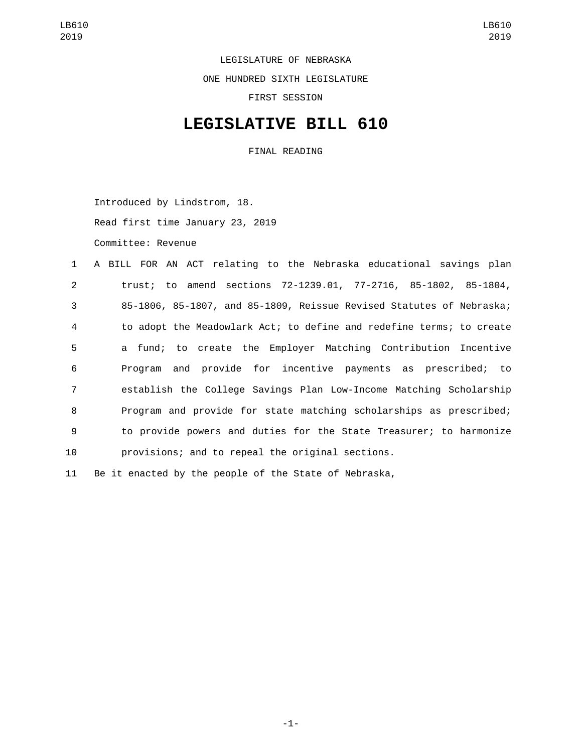LEGISLATURE OF NEBRASKA

ONE HUNDRED SIXTH LEGISLATURE

FIRST SESSION

## **LEGISLATIVE BILL 610**

FINAL READING

Introduced by Lindstrom, 18. Read first time January 23, 2019 Committee: Revenue

|                | 1 A BILL FOR AN ACT relating to the Nebraska educational savings plan |
|----------------|-----------------------------------------------------------------------|
| $\overline{2}$ | trust; to amend sections 72-1239.01, 77-2716, 85-1802, 85-1804,       |
| 3              | 85-1806, 85-1807, and 85-1809, Reissue Revised Statutes of Nebraska;  |
| $\overline{4}$ | to adopt the Meadowlark Act; to define and redefine terms; to create  |
| 5              | a fund; to create the Employer Matching Contribution Incentive        |
| 6              | Program and provide for incentive payments as prescribed; to          |
| $\overline{7}$ | establish the College Savings Plan Low-Income Matching Scholarship    |
| 8              | Program and provide for state matching scholarships as prescribed;    |
| 9              | to provide powers and duties for the State Treasurer; to harmonize    |
| 10             | provisions; and to repeal the original sections.                      |
|                |                                                                       |

11 Be it enacted by the people of the State of Nebraska,

-1-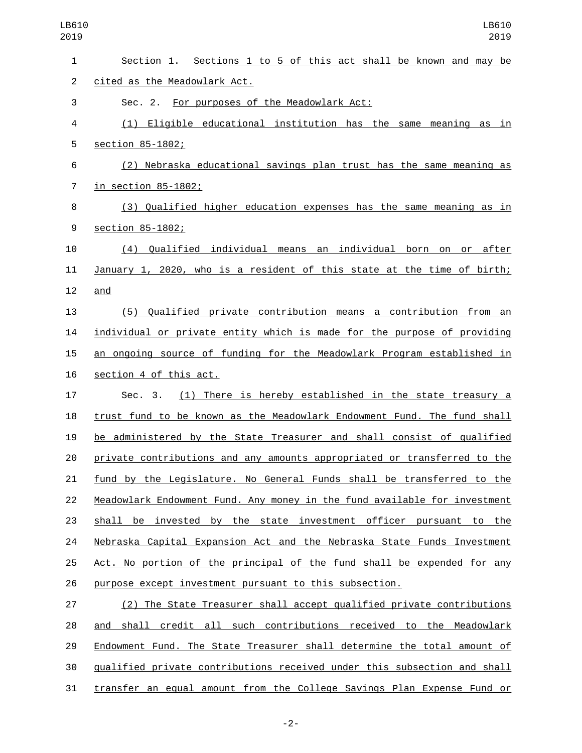| $\mathbf{1}$   | Section 1. Sections 1 to 5 of this act shall be known and may be          |
|----------------|---------------------------------------------------------------------------|
| $\overline{c}$ | cited as the Meadowlark Act.                                              |
| 3              | Sec. 2. For purposes of the Meadowlark Act:                               |
| 4              | (1) Eligible educational institution has the same meaning as in           |
| 5              | section 85-1802;                                                          |
| 6              | (2) Nebraska educational savings plan trust has the same meaning as       |
| $\overline{7}$ | in section 85-1802;                                                       |
| 8              | (3) Qualified higher education expenses has the same meaning as in        |
| 9              | section 85-1802;                                                          |
| 10             | Qualified individual means an individual born<br>on or after<br>(4)       |
| 11             | January 1, 2020, who is a resident of this state at the time of birth;    |
| 12             | and                                                                       |
| 13             | (5) Qualified private contribution means a contribution from an           |
| 14             | individual or private entity which is made for the purpose of providing   |
| 15             | an ongoing source of funding for the Meadowlark Program established in    |
| 16             | section 4 of this act.                                                    |
| 17             | (1) There is hereby established in the state treasury a<br>Sec. 3.        |
| 18             | trust fund to be known as the Meadowlark Endowment Fund. The fund shall   |
| 19             | be administered by the State Treasurer and shall consist of qualified     |
| 20             | private contributions and any amounts appropriated or transferred to the  |
| 21             | fund by the Legislature. No General Funds shall be transferred to the     |
| 22             | Meadowlark Endowment Fund. Any money in the fund available for investment |
| 23             | shall be invested by the state investment officer pursuant to the         |
| 24             | Nebraska Capital Expansion Act and the Nebraska State Funds Investment    |
| 25             | Act. No portion of the principal of the fund shall be expended for any    |
| 26             | purpose except investment pursuant to this subsection.                    |
| 27             | (2) The State Treasurer shall accept qualified private contributions      |
| 28             | and shall credit all such contributions received to the Meadowlark        |
| 29             | Endowment Fund. The State Treasurer shall determine the total amount of   |
| 30             | gualified private contributions received under this subsection and shall  |

transfer an equal amount from the College Savings Plan Expense Fund or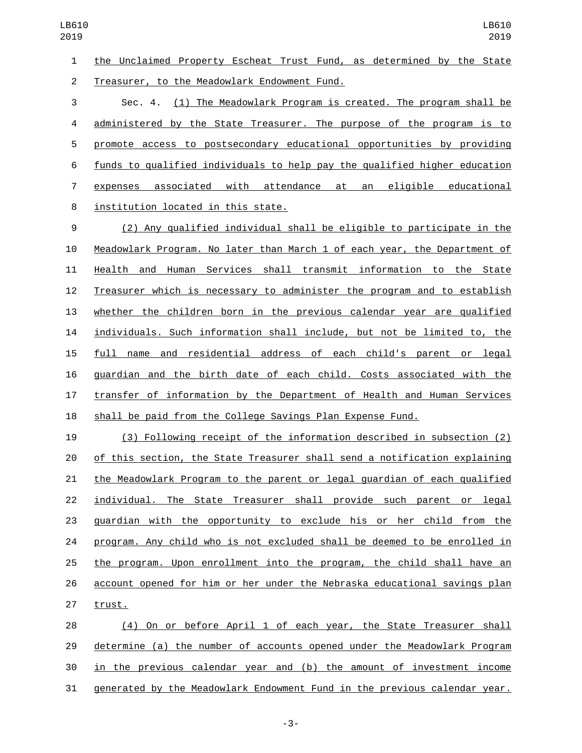the Unclaimed Property Escheat Trust Fund, as determined by the State 2 Treasurer, to the Meadowlark Endowment Fund.

 Sec. 4. (1) The Meadowlark Program is created. The program shall be administered by the State Treasurer. The purpose of the program is to promote access to postsecondary educational opportunities by providing funds to qualified individuals to help pay the qualified higher education expenses associated with attendance at an eligible educational 8 institution located in this state.

 (2) Any qualified individual shall be eligible to participate in the Meadowlark Program. No later than March 1 of each year, the Department of Health and Human Services shall transmit information to the State Treasurer which is necessary to administer the program and to establish whether the children born in the previous calendar year are qualified individuals. Such information shall include, but not be limited to, the full name and residential address of each child's parent or legal guardian and the birth date of each child. Costs associated with the transfer of information by the Department of Health and Human Services shall be paid from the College Savings Plan Expense Fund.

 (3) Following receipt of the information described in subsection (2) of this section, the State Treasurer shall send a notification explaining the Meadowlark Program to the parent or legal guardian of each qualified 22 individual. The State Treasurer shall provide such parent or legal guardian with the opportunity to exclude his or her child from the program. Any child who is not excluded shall be deemed to be enrolled in the program. Upon enrollment into the program, the child shall have an account opened for him or her under the Nebraska educational savings plan 27 trust.

 (4) On or before April 1 of each year, the State Treasurer shall determine (a) the number of accounts opened under the Meadowlark Program in the previous calendar year and (b) the amount of investment income generated by the Meadowlark Endowment Fund in the previous calendar year.

-3-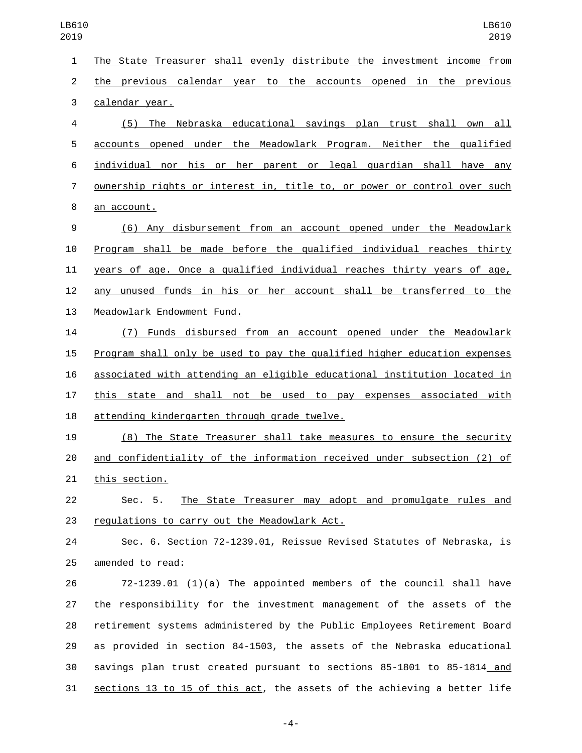| 1                | The State Treasurer shall evenly distribute the investment income from    |
|------------------|---------------------------------------------------------------------------|
| $\overline{c}$   | the previous calendar year to the accounts opened in the previous         |
| 3                | calendar year.                                                            |
| 4                | (5) The Nebraska educational savings plan trust shall own all             |
| 5                | accounts opened under the Meadowlark Program. Neither the qualified       |
| 6                | individual nor his or her parent or legal guardian shall have any         |
| $\overline{7}$   | ownership rights or interest in, title to, or power or control over such  |
| 8                | an account.                                                               |
| $\boldsymbol{9}$ | (6) Any disbursement from an account opened under the Meadowlark          |
| 10               | Program shall be made before the qualified individual reaches thirty      |
| 11               | years of age. Once a qualified individual reaches thirty years of age,    |
| 12               | any unused funds in his or her account shall be transferred to the        |
| 13               | Meadowlark Endowment Fund.                                                |
| 14               | (7) Funds disbursed from an account opened under the Meadowlark           |
| 15               | Program shall only be used to pay the qualified higher education expenses |
| 16               | associated with attending an eligible educational institution located in  |
| 17               | this state and shall not be used to pay expenses associated with          |
| 18               | attending kindergarten through grade twelve.                              |
| 19               | (8) The State Treasurer shall take measures to ensure the security        |
| 20               | and confidentiality of the information received under subsection (2) of   |
| 21               | this section.                                                             |
| 22               | The State Treasurer may adopt and promulgate rules and<br>Sec. 5.         |
| 23               | regulations to carry out the Meadowlark Act.                              |
| 24               | Sec. 6. Section 72-1239.01, Reissue Revised Statutes of Nebraska, is      |
| 25               | amended to read:                                                          |
| 26               | $72-1239.01$ (1)(a) The appointed members of the council shall have       |
| 27               | the responsibility for the investment management of the assets of the     |
| 28               | retirement systems administered by the Public Employees Retirement Board  |
| 29               | as provided in section 84-1503, the assets of the Nebraska educational    |
| 30               | savings plan trust created pursuant to sections 85-1801 to 85-1814_and    |
| 31               | sections 13 to 15 of this act, the assets of the achieving a better life  |
|                  |                                                                           |

-4-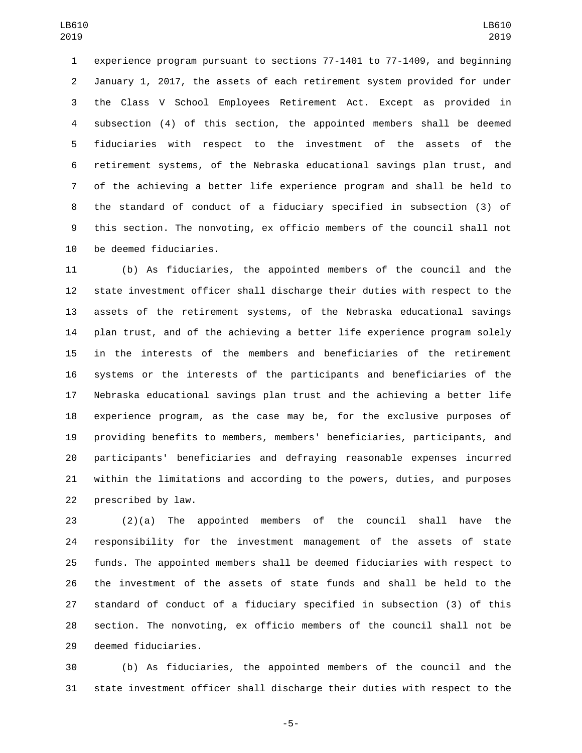experience program pursuant to sections 77-1401 to 77-1409, and beginning January 1, 2017, the assets of each retirement system provided for under the Class V School Employees Retirement Act. Except as provided in subsection (4) of this section, the appointed members shall be deemed fiduciaries with respect to the investment of the assets of the retirement systems, of the Nebraska educational savings plan trust, and of the achieving a better life experience program and shall be held to the standard of conduct of a fiduciary specified in subsection (3) of this section. The nonvoting, ex officio members of the council shall not 10 be deemed fiduciaries.

 (b) As fiduciaries, the appointed members of the council and the state investment officer shall discharge their duties with respect to the assets of the retirement systems, of the Nebraska educational savings plan trust, and of the achieving a better life experience program solely in the interests of the members and beneficiaries of the retirement systems or the interests of the participants and beneficiaries of the Nebraska educational savings plan trust and the achieving a better life experience program, as the case may be, for the exclusive purposes of providing benefits to members, members' beneficiaries, participants, and participants' beneficiaries and defraying reasonable expenses incurred within the limitations and according to the powers, duties, and purposes 22 prescribed by law.

 (2)(a) The appointed members of the council shall have the responsibility for the investment management of the assets of state funds. The appointed members shall be deemed fiduciaries with respect to the investment of the assets of state funds and shall be held to the standard of conduct of a fiduciary specified in subsection (3) of this section. The nonvoting, ex officio members of the council shall not be 29 deemed fiduciaries.

 (b) As fiduciaries, the appointed members of the council and the state investment officer shall discharge their duties with respect to the

-5-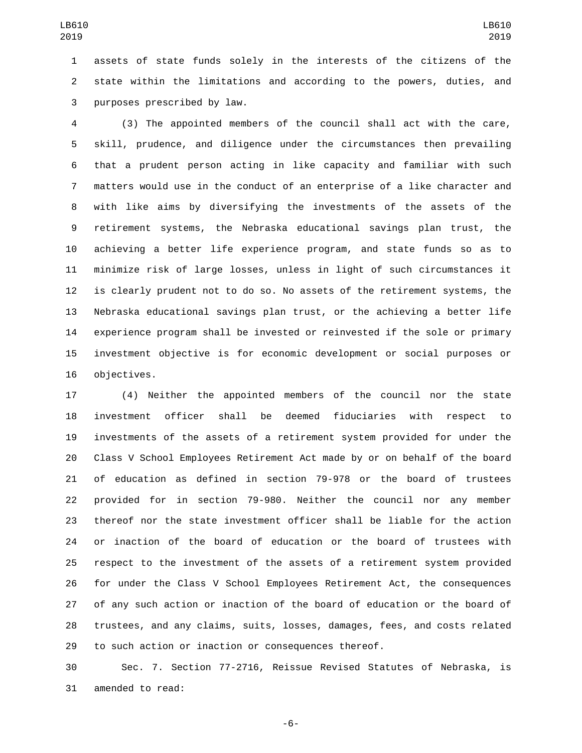assets of state funds solely in the interests of the citizens of the state within the limitations and according to the powers, duties, and 3 purposes prescribed by law.

 (3) The appointed members of the council shall act with the care, skill, prudence, and diligence under the circumstances then prevailing that a prudent person acting in like capacity and familiar with such matters would use in the conduct of an enterprise of a like character and with like aims by diversifying the investments of the assets of the retirement systems, the Nebraska educational savings plan trust, the achieving a better life experience program, and state funds so as to minimize risk of large losses, unless in light of such circumstances it is clearly prudent not to do so. No assets of the retirement systems, the Nebraska educational savings plan trust, or the achieving a better life experience program shall be invested or reinvested if the sole or primary investment objective is for economic development or social purposes or 16 objectives.

 (4) Neither the appointed members of the council nor the state investment officer shall be deemed fiduciaries with respect to investments of the assets of a retirement system provided for under the Class V School Employees Retirement Act made by or on behalf of the board of education as defined in section 79-978 or the board of trustees provided for in section 79-980. Neither the council nor any member thereof nor the state investment officer shall be liable for the action or inaction of the board of education or the board of trustees with respect to the investment of the assets of a retirement system provided for under the Class V School Employees Retirement Act, the consequences of any such action or inaction of the board of education or the board of trustees, and any claims, suits, losses, damages, fees, and costs related to such action or inaction or consequences thereof.

 Sec. 7. Section 77-2716, Reissue Revised Statutes of Nebraska, is 31 amended to read:

-6-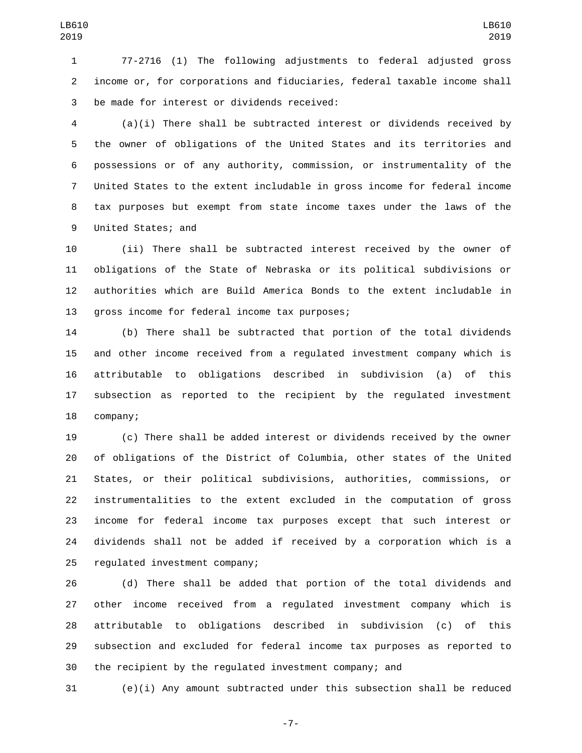77-2716 (1) The following adjustments to federal adjusted gross income or, for corporations and fiduciaries, federal taxable income shall 3 be made for interest or dividends received:

 (a)(i) There shall be subtracted interest or dividends received by the owner of obligations of the United States and its territories and possessions or of any authority, commission, or instrumentality of the United States to the extent includable in gross income for federal income tax purposes but exempt from state income taxes under the laws of the 9 United States; and

 (ii) There shall be subtracted interest received by the owner of obligations of the State of Nebraska or its political subdivisions or authorities which are Build America Bonds to the extent includable in 13 gross income for federal income tax purposes;

 (b) There shall be subtracted that portion of the total dividends and other income received from a regulated investment company which is attributable to obligations described in subdivision (a) of this subsection as reported to the recipient by the regulated investment 18 company;

 (c) There shall be added interest or dividends received by the owner of obligations of the District of Columbia, other states of the United States, or their political subdivisions, authorities, commissions, or instrumentalities to the extent excluded in the computation of gross income for federal income tax purposes except that such interest or dividends shall not be added if received by a corporation which is a 25 regulated investment company;

 (d) There shall be added that portion of the total dividends and other income received from a regulated investment company which is attributable to obligations described in subdivision (c) of this subsection and excluded for federal income tax purposes as reported to the recipient by the regulated investment company; and

(e)(i) Any amount subtracted under this subsection shall be reduced

-7-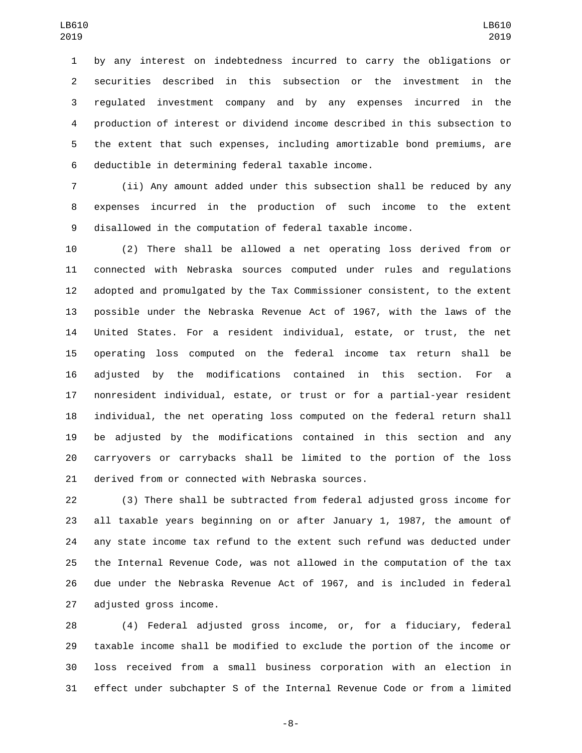by any interest on indebtedness incurred to carry the obligations or securities described in this subsection or the investment in the regulated investment company and by any expenses incurred in the production of interest or dividend income described in this subsection to the extent that such expenses, including amortizable bond premiums, are 6 deductible in determining federal taxable income.

 (ii) Any amount added under this subsection shall be reduced by any expenses incurred in the production of such income to the extent disallowed in the computation of federal taxable income.

 (2) There shall be allowed a net operating loss derived from or connected with Nebraska sources computed under rules and regulations adopted and promulgated by the Tax Commissioner consistent, to the extent possible under the Nebraska Revenue Act of 1967, with the laws of the United States. For a resident individual, estate, or trust, the net operating loss computed on the federal income tax return shall be adjusted by the modifications contained in this section. For a nonresident individual, estate, or trust or for a partial-year resident individual, the net operating loss computed on the federal return shall be adjusted by the modifications contained in this section and any carryovers or carrybacks shall be limited to the portion of the loss 21 derived from or connected with Nebraska sources.

 (3) There shall be subtracted from federal adjusted gross income for all taxable years beginning on or after January 1, 1987, the amount of any state income tax refund to the extent such refund was deducted under the Internal Revenue Code, was not allowed in the computation of the tax due under the Nebraska Revenue Act of 1967, and is included in federal 27 adjusted gross income.

 (4) Federal adjusted gross income, or, for a fiduciary, federal taxable income shall be modified to exclude the portion of the income or loss received from a small business corporation with an election in effect under subchapter S of the Internal Revenue Code or from a limited

-8-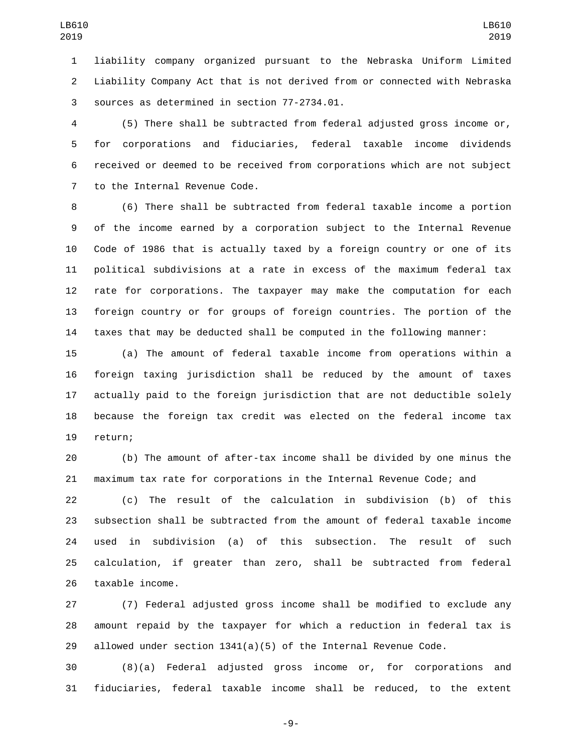liability company organized pursuant to the Nebraska Uniform Limited Liability Company Act that is not derived from or connected with Nebraska 3 sources as determined in section 77-2734.01.

 (5) There shall be subtracted from federal adjusted gross income or, for corporations and fiduciaries, federal taxable income dividends received or deemed to be received from corporations which are not subject 7 to the Internal Revenue Code.

 (6) There shall be subtracted from federal taxable income a portion of the income earned by a corporation subject to the Internal Revenue Code of 1986 that is actually taxed by a foreign country or one of its political subdivisions at a rate in excess of the maximum federal tax rate for corporations. The taxpayer may make the computation for each foreign country or for groups of foreign countries. The portion of the taxes that may be deducted shall be computed in the following manner:

 (a) The amount of federal taxable income from operations within a foreign taxing jurisdiction shall be reduced by the amount of taxes actually paid to the foreign jurisdiction that are not deductible solely because the foreign tax credit was elected on the federal income tax 19 return;

 (b) The amount of after-tax income shall be divided by one minus the maximum tax rate for corporations in the Internal Revenue Code; and

 (c) The result of the calculation in subdivision (b) of this subsection shall be subtracted from the amount of federal taxable income used in subdivision (a) of this subsection. The result of such calculation, if greater than zero, shall be subtracted from federal 26 taxable income.

 (7) Federal adjusted gross income shall be modified to exclude any amount repaid by the taxpayer for which a reduction in federal tax is 29 allowed under section  $1341(a)(5)$  of the Internal Revenue Code.

 (8)(a) Federal adjusted gross income or, for corporations and fiduciaries, federal taxable income shall be reduced, to the extent

-9-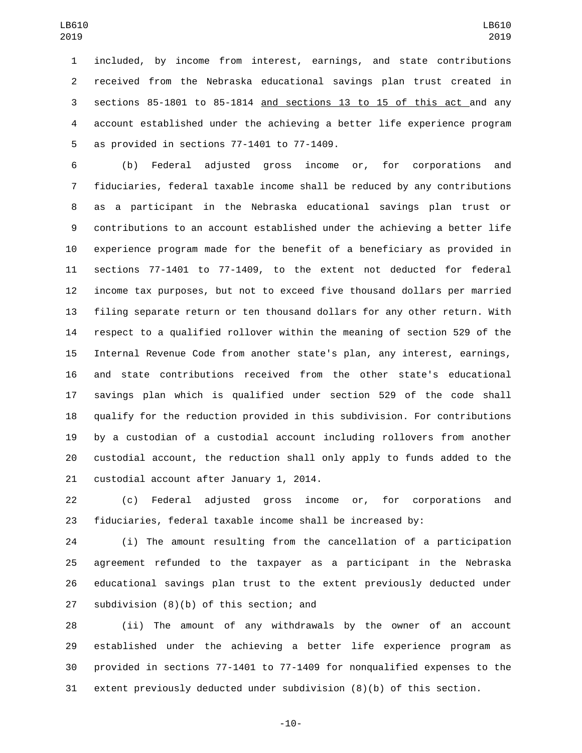included, by income from interest, earnings, and state contributions received from the Nebraska educational savings plan trust created in sections 85-1801 to 85-1814 and sections 13 to 15 of this act and any account established under the achieving a better life experience program 5 as provided in sections  $77-1401$  to  $77-1409$ .

 (b) Federal adjusted gross income or, for corporations and fiduciaries, federal taxable income shall be reduced by any contributions as a participant in the Nebraska educational savings plan trust or contributions to an account established under the achieving a better life experience program made for the benefit of a beneficiary as provided in sections 77-1401 to 77-1409, to the extent not deducted for federal income tax purposes, but not to exceed five thousand dollars per married filing separate return or ten thousand dollars for any other return. With respect to a qualified rollover within the meaning of section 529 of the Internal Revenue Code from another state's plan, any interest, earnings, and state contributions received from the other state's educational savings plan which is qualified under section 529 of the code shall qualify for the reduction provided in this subdivision. For contributions by a custodian of a custodial account including rollovers from another custodial account, the reduction shall only apply to funds added to the 21 custodial account after January 1, 2014.

 (c) Federal adjusted gross income or, for corporations and fiduciaries, federal taxable income shall be increased by:

 (i) The amount resulting from the cancellation of a participation agreement refunded to the taxpayer as a participant in the Nebraska educational savings plan trust to the extent previously deducted under 27 subdivision  $(8)(b)$  of this section; and

 (ii) The amount of any withdrawals by the owner of an account established under the achieving a better life experience program as provided in sections 77-1401 to 77-1409 for nonqualified expenses to the extent previously deducted under subdivision (8)(b) of this section.

-10-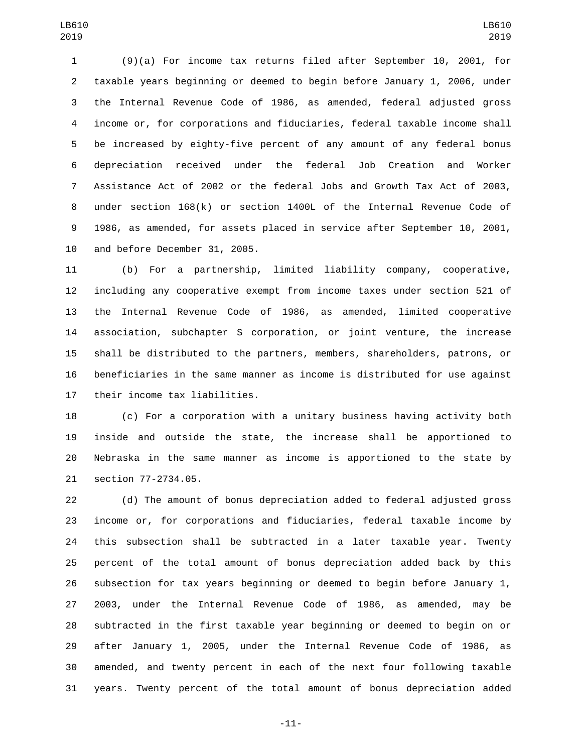(9)(a) For income tax returns filed after September 10, 2001, for taxable years beginning or deemed to begin before January 1, 2006, under the Internal Revenue Code of 1986, as amended, federal adjusted gross income or, for corporations and fiduciaries, federal taxable income shall be increased by eighty-five percent of any amount of any federal bonus depreciation received under the federal Job Creation and Worker Assistance Act of 2002 or the federal Jobs and Growth Tax Act of 2003, under section 168(k) or section 1400L of the Internal Revenue Code of 1986, as amended, for assets placed in service after September 10, 2001, 10 and before December 31, 2005.

 (b) For a partnership, limited liability company, cooperative, including any cooperative exempt from income taxes under section 521 of the Internal Revenue Code of 1986, as amended, limited cooperative association, subchapter S corporation, or joint venture, the increase shall be distributed to the partners, members, shareholders, patrons, or beneficiaries in the same manner as income is distributed for use against 17 their income tax liabilities.

 (c) For a corporation with a unitary business having activity both inside and outside the state, the increase shall be apportioned to Nebraska in the same manner as income is apportioned to the state by 21 section 77-2734.05.

 (d) The amount of bonus depreciation added to federal adjusted gross income or, for corporations and fiduciaries, federal taxable income by this subsection shall be subtracted in a later taxable year. Twenty percent of the total amount of bonus depreciation added back by this subsection for tax years beginning or deemed to begin before January 1, 2003, under the Internal Revenue Code of 1986, as amended, may be subtracted in the first taxable year beginning or deemed to begin on or after January 1, 2005, under the Internal Revenue Code of 1986, as amended, and twenty percent in each of the next four following taxable years. Twenty percent of the total amount of bonus depreciation added

-11-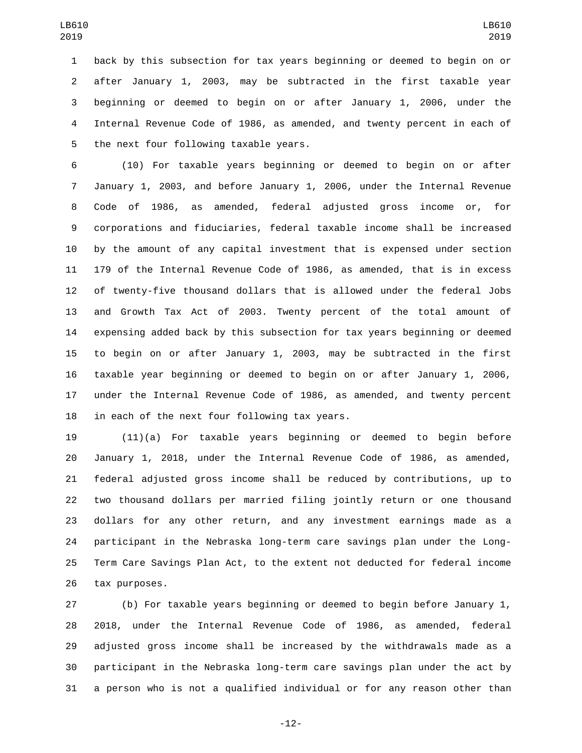back by this subsection for tax years beginning or deemed to begin on or after January 1, 2003, may be subtracted in the first taxable year beginning or deemed to begin on or after January 1, 2006, under the Internal Revenue Code of 1986, as amended, and twenty percent in each of 5 the next four following taxable years.

 (10) For taxable years beginning or deemed to begin on or after January 1, 2003, and before January 1, 2006, under the Internal Revenue Code of 1986, as amended, federal adjusted gross income or, for corporations and fiduciaries, federal taxable income shall be increased by the amount of any capital investment that is expensed under section 179 of the Internal Revenue Code of 1986, as amended, that is in excess of twenty-five thousand dollars that is allowed under the federal Jobs and Growth Tax Act of 2003. Twenty percent of the total amount of expensing added back by this subsection for tax years beginning or deemed to begin on or after January 1, 2003, may be subtracted in the first taxable year beginning or deemed to begin on or after January 1, 2006, under the Internal Revenue Code of 1986, as amended, and twenty percent in each of the next four following tax years.

 (11)(a) For taxable years beginning or deemed to begin before January 1, 2018, under the Internal Revenue Code of 1986, as amended, federal adjusted gross income shall be reduced by contributions, up to two thousand dollars per married filing jointly return or one thousand dollars for any other return, and any investment earnings made as a participant in the Nebraska long-term care savings plan under the Long- Term Care Savings Plan Act, to the extent not deducted for federal income 26 tax purposes.

 (b) For taxable years beginning or deemed to begin before January 1, 2018, under the Internal Revenue Code of 1986, as amended, federal adjusted gross income shall be increased by the withdrawals made as a participant in the Nebraska long-term care savings plan under the act by a person who is not a qualified individual or for any reason other than

-12-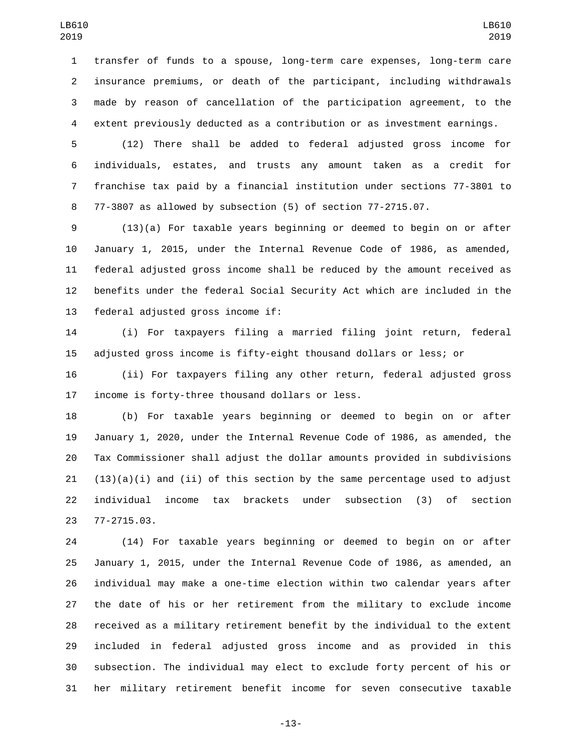transfer of funds to a spouse, long-term care expenses, long-term care insurance premiums, or death of the participant, including withdrawals made by reason of cancellation of the participation agreement, to the extent previously deducted as a contribution or as investment earnings.

 (12) There shall be added to federal adjusted gross income for individuals, estates, and trusts any amount taken as a credit for franchise tax paid by a financial institution under sections 77-3801 to 77-3807 as allowed by subsection (5) of section 77-2715.07.

 (13)(a) For taxable years beginning or deemed to begin on or after January 1, 2015, under the Internal Revenue Code of 1986, as amended, federal adjusted gross income shall be reduced by the amount received as benefits under the federal Social Security Act which are included in the 13 federal adjusted gross income if:

 (i) For taxpayers filing a married filing joint return, federal adjusted gross income is fifty-eight thousand dollars or less; or

 (ii) For taxpayers filing any other return, federal adjusted gross 17 income is forty-three thousand dollars or less.

 (b) For taxable years beginning or deemed to begin on or after January 1, 2020, under the Internal Revenue Code of 1986, as amended, the Tax Commissioner shall adjust the dollar amounts provided in subdivisions  $(13)(a)(i)$  and  $(ii)$  of this section by the same percentage used to adjust individual income tax brackets under subsection (3) of section 77-2715.03.23

 (14) For taxable years beginning or deemed to begin on or after January 1, 2015, under the Internal Revenue Code of 1986, as amended, an individual may make a one-time election within two calendar years after the date of his or her retirement from the military to exclude income received as a military retirement benefit by the individual to the extent included in federal adjusted gross income and as provided in this subsection. The individual may elect to exclude forty percent of his or her military retirement benefit income for seven consecutive taxable

-13-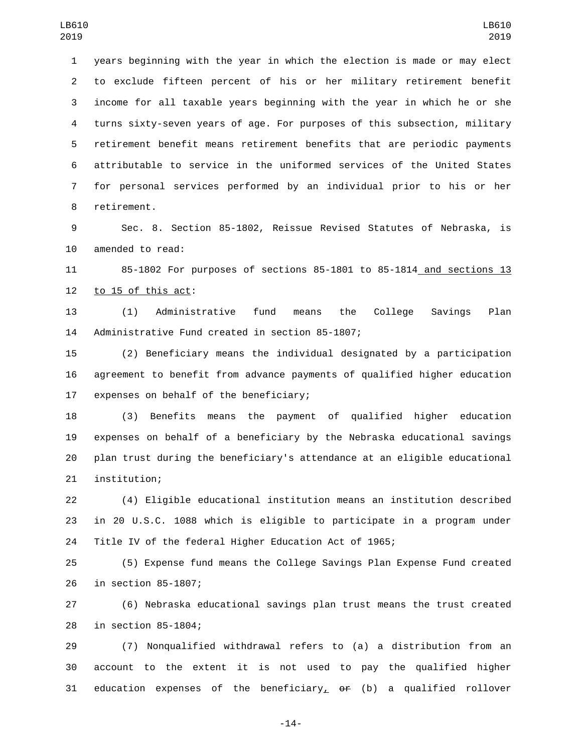years beginning with the year in which the election is made or may elect to exclude fifteen percent of his or her military retirement benefit income for all taxable years beginning with the year in which he or she turns sixty-seven years of age. For purposes of this subsection, military retirement benefit means retirement benefits that are periodic payments attributable to service in the uniformed services of the United States for personal services performed by an individual prior to his or her 8 retirement.

 Sec. 8. Section 85-1802, Reissue Revised Statutes of Nebraska, is 10 amended to read:

 85-1802 For purposes of sections 85-1801 to 85-1814 and sections 13 to 15 of this act:

 (1) Administrative fund means the College Savings Plan 14 Administrative Fund created in section 85-1807;

 (2) Beneficiary means the individual designated by a participation agreement to benefit from advance payments of qualified higher education 17 expenses on behalf of the beneficiary;

 (3) Benefits means the payment of qualified higher education expenses on behalf of a beneficiary by the Nebraska educational savings plan trust during the beneficiary's attendance at an eligible educational 21 institution;

 (4) Eligible educational institution means an institution described in 20 U.S.C. 1088 which is eligible to participate in a program under Title IV of the federal Higher Education Act of 1965;

 (5) Expense fund means the College Savings Plan Expense Fund created 26 in section 85-1807;

 (6) Nebraska educational savings plan trust means the trust created 28 in section 85-1804;

 (7) Nonqualified withdrawal refers to (a) a distribution from an account to the extent it is not used to pay the qualified higher 31 education expenses of the beneficiary<sub> $\sim$ </sub>  $\theta$  (b) a qualified rollover

-14-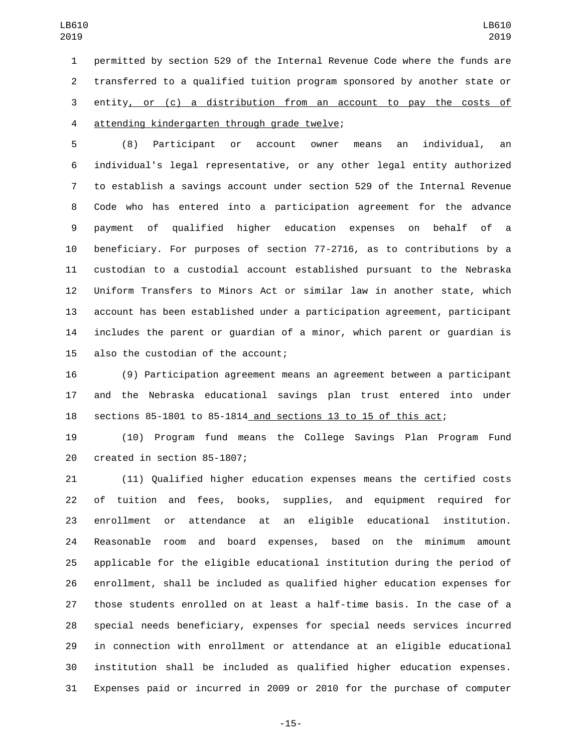permitted by section 529 of the Internal Revenue Code where the funds are transferred to a qualified tuition program sponsored by another state or entity, or (c) a distribution from an account to pay the costs of 4 attending kindergarten through grade twelve;

 (8) Participant or account owner means an individual, an individual's legal representative, or any other legal entity authorized to establish a savings account under section 529 of the Internal Revenue Code who has entered into a participation agreement for the advance payment of qualified higher education expenses on behalf of a beneficiary. For purposes of section 77-2716, as to contributions by a custodian to a custodial account established pursuant to the Nebraska Uniform Transfers to Minors Act or similar law in another state, which account has been established under a participation agreement, participant includes the parent or guardian of a minor, which parent or guardian is 15 also the custodian of the account;

 (9) Participation agreement means an agreement between a participant and the Nebraska educational savings plan trust entered into under sections 85-1801 to 85-1814 and sections 13 to 15 of this act;

 (10) Program fund means the College Savings Plan Program Fund 20 created in section 85-1807;

 (11) Qualified higher education expenses means the certified costs of tuition and fees, books, supplies, and equipment required for enrollment or attendance at an eligible educational institution. Reasonable room and board expenses, based on the minimum amount applicable for the eligible educational institution during the period of enrollment, shall be included as qualified higher education expenses for those students enrolled on at least a half-time basis. In the case of a special needs beneficiary, expenses for special needs services incurred in connection with enrollment or attendance at an eligible educational institution shall be included as qualified higher education expenses. Expenses paid or incurred in 2009 or 2010 for the purchase of computer

-15-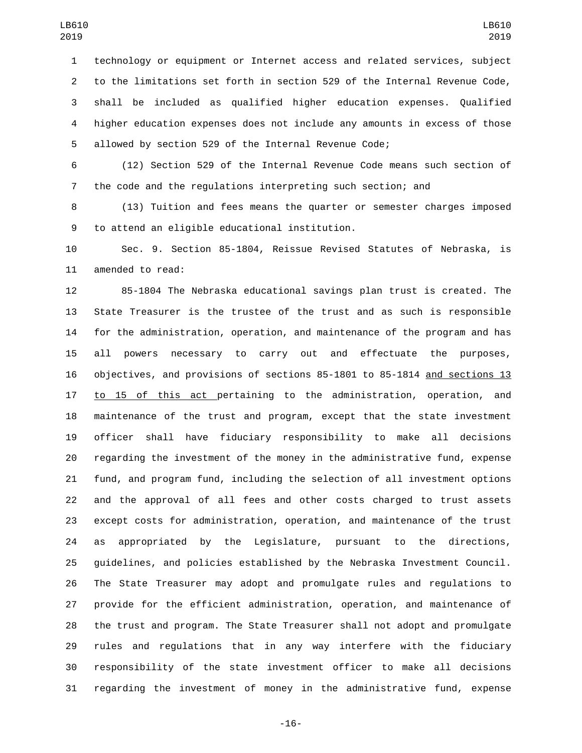technology or equipment or Internet access and related services, subject to the limitations set forth in section 529 of the Internal Revenue Code, shall be included as qualified higher education expenses. Qualified higher education expenses does not include any amounts in excess of those allowed by section 529 of the Internal Revenue Code;

 (12) Section 529 of the Internal Revenue Code means such section of the code and the regulations interpreting such section; and

 (13) Tuition and fees means the quarter or semester charges imposed 9 to attend an eligible educational institution.

 Sec. 9. Section 85-1804, Reissue Revised Statutes of Nebraska, is 11 amended to read:

 85-1804 The Nebraska educational savings plan trust is created. The State Treasurer is the trustee of the trust and as such is responsible for the administration, operation, and maintenance of the program and has all powers necessary to carry out and effectuate the purposes, objectives, and provisions of sections 85-1801 to 85-1814 and sections 13 17 to 15 of this act pertaining to the administration, operation, and maintenance of the trust and program, except that the state investment officer shall have fiduciary responsibility to make all decisions regarding the investment of the money in the administrative fund, expense fund, and program fund, including the selection of all investment options and the approval of all fees and other costs charged to trust assets except costs for administration, operation, and maintenance of the trust as appropriated by the Legislature, pursuant to the directions, guidelines, and policies established by the Nebraska Investment Council. The State Treasurer may adopt and promulgate rules and regulations to provide for the efficient administration, operation, and maintenance of the trust and program. The State Treasurer shall not adopt and promulgate rules and regulations that in any way interfere with the fiduciary responsibility of the state investment officer to make all decisions regarding the investment of money in the administrative fund, expense

-16-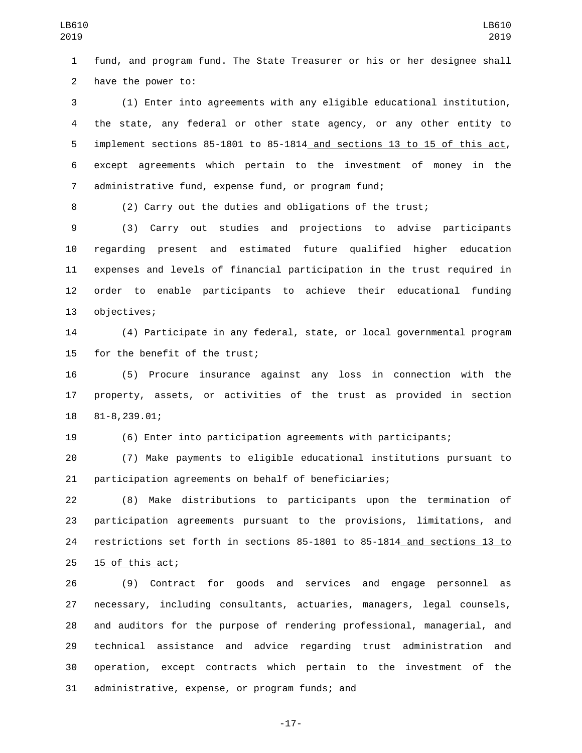fund, and program fund. The State Treasurer or his or her designee shall 2 have the power to:

 (1) Enter into agreements with any eligible educational institution, the state, any federal or other state agency, or any other entity to implement sections 85-1801 to 85-1814 and sections 13 to 15 of this act, except agreements which pertain to the investment of money in the administrative fund, expense fund, or program fund;

(2) Carry out the duties and obligations of the trust;

 (3) Carry out studies and projections to advise participants regarding present and estimated future qualified higher education expenses and levels of financial participation in the trust required in order to enable participants to achieve their educational funding 13 objectives;

 (4) Participate in any federal, state, or local governmental program 15 for the benefit of the trust;

 (5) Procure insurance against any loss in connection with the property, assets, or activities of the trust as provided in section 18 81-8,239.01;

(6) Enter into participation agreements with participants;

 (7) Make payments to eligible educational institutions pursuant to participation agreements on behalf of beneficiaries;

 (8) Make distributions to participants upon the termination of participation agreements pursuant to the provisions, limitations, and restrictions set forth in sections 85-1801 to 85-1814 and sections 13 to  $15$  of this act;

 (9) Contract for goods and services and engage personnel as necessary, including consultants, actuaries, managers, legal counsels, and auditors for the purpose of rendering professional, managerial, and technical assistance and advice regarding trust administration and operation, except contracts which pertain to the investment of the 31 administrative, expense, or program funds; and

-17-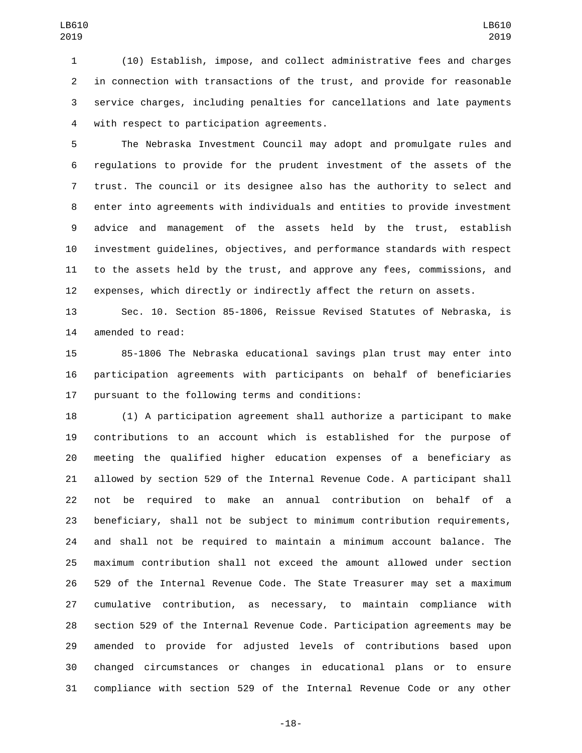(10) Establish, impose, and collect administrative fees and charges in connection with transactions of the trust, and provide for reasonable service charges, including penalties for cancellations and late payments 4 with respect to participation agreements.

 The Nebraska Investment Council may adopt and promulgate rules and regulations to provide for the prudent investment of the assets of the trust. The council or its designee also has the authority to select and enter into agreements with individuals and entities to provide investment advice and management of the assets held by the trust, establish investment guidelines, objectives, and performance standards with respect to the assets held by the trust, and approve any fees, commissions, and expenses, which directly or indirectly affect the return on assets.

 Sec. 10. Section 85-1806, Reissue Revised Statutes of Nebraska, is 14 amended to read:

 85-1806 The Nebraska educational savings plan trust may enter into participation agreements with participants on behalf of beneficiaries 17 pursuant to the following terms and conditions:

 (1) A participation agreement shall authorize a participant to make contributions to an account which is established for the purpose of meeting the qualified higher education expenses of a beneficiary as allowed by section 529 of the Internal Revenue Code. A participant shall not be required to make an annual contribution on behalf of a beneficiary, shall not be subject to minimum contribution requirements, and shall not be required to maintain a minimum account balance. The maximum contribution shall not exceed the amount allowed under section 529 of the Internal Revenue Code. The State Treasurer may set a maximum cumulative contribution, as necessary, to maintain compliance with section 529 of the Internal Revenue Code. Participation agreements may be amended to provide for adjusted levels of contributions based upon changed circumstances or changes in educational plans or to ensure compliance with section 529 of the Internal Revenue Code or any other

-18-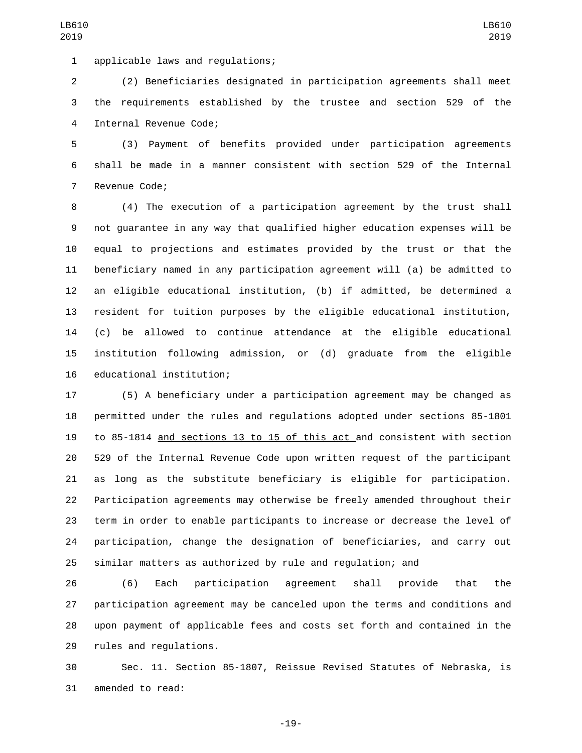applicable laws and regulations;1

 (2) Beneficiaries designated in participation agreements shall meet the requirements established by the trustee and section 529 of the 4 Internal Revenue Code;

 (3) Payment of benefits provided under participation agreements shall be made in a manner consistent with section 529 of the Internal 7 Revenue Code;

 (4) The execution of a participation agreement by the trust shall not guarantee in any way that qualified higher education expenses will be equal to projections and estimates provided by the trust or that the beneficiary named in any participation agreement will (a) be admitted to an eligible educational institution, (b) if admitted, be determined a resident for tuition purposes by the eligible educational institution, (c) be allowed to continue attendance at the eligible educational institution following admission, or (d) graduate from the eligible 16 educational institution;

 (5) A beneficiary under a participation agreement may be changed as permitted under the rules and regulations adopted under sections 85-1801 to 85-1814 and sections 13 to 15 of this act and consistent with section 529 of the Internal Revenue Code upon written request of the participant as long as the substitute beneficiary is eligible for participation. Participation agreements may otherwise be freely amended throughout their term in order to enable participants to increase or decrease the level of participation, change the designation of beneficiaries, and carry out similar matters as authorized by rule and regulation; and

 (6) Each participation agreement shall provide that the participation agreement may be canceled upon the terms and conditions and upon payment of applicable fees and costs set forth and contained in the 29 rules and regulations.

 Sec. 11. Section 85-1807, Reissue Revised Statutes of Nebraska, is 31 amended to read:

-19-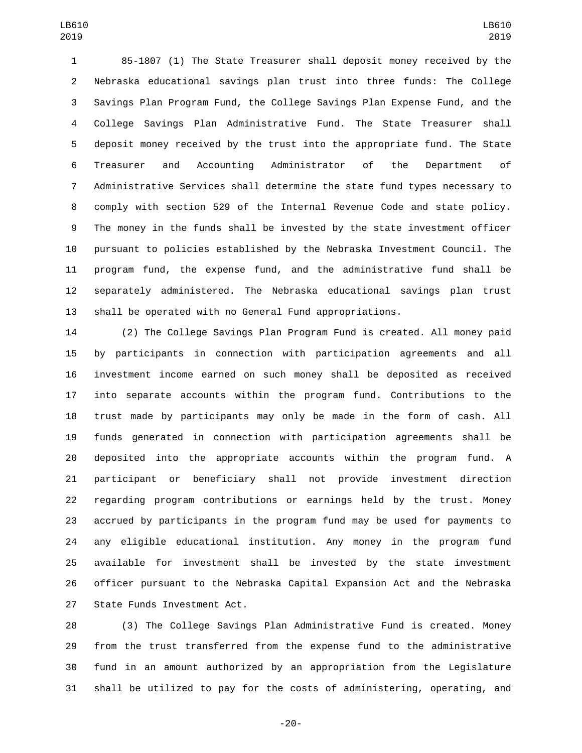85-1807 (1) The State Treasurer shall deposit money received by the Nebraska educational savings plan trust into three funds: The College Savings Plan Program Fund, the College Savings Plan Expense Fund, and the College Savings Plan Administrative Fund. The State Treasurer shall deposit money received by the trust into the appropriate fund. The State Treasurer and Accounting Administrator of the Department of Administrative Services shall determine the state fund types necessary to comply with section 529 of the Internal Revenue Code and state policy. The money in the funds shall be invested by the state investment officer pursuant to policies established by the Nebraska Investment Council. The program fund, the expense fund, and the administrative fund shall be separately administered. The Nebraska educational savings plan trust shall be operated with no General Fund appropriations.

 (2) The College Savings Plan Program Fund is created. All money paid by participants in connection with participation agreements and all investment income earned on such money shall be deposited as received into separate accounts within the program fund. Contributions to the trust made by participants may only be made in the form of cash. All funds generated in connection with participation agreements shall be deposited into the appropriate accounts within the program fund. A participant or beneficiary shall not provide investment direction regarding program contributions or earnings held by the trust. Money accrued by participants in the program fund may be used for payments to any eligible educational institution. Any money in the program fund available for investment shall be invested by the state investment officer pursuant to the Nebraska Capital Expansion Act and the Nebraska 27 State Funds Investment Act.

 (3) The College Savings Plan Administrative Fund is created. Money from the trust transferred from the expense fund to the administrative fund in an amount authorized by an appropriation from the Legislature shall be utilized to pay for the costs of administering, operating, and

-20-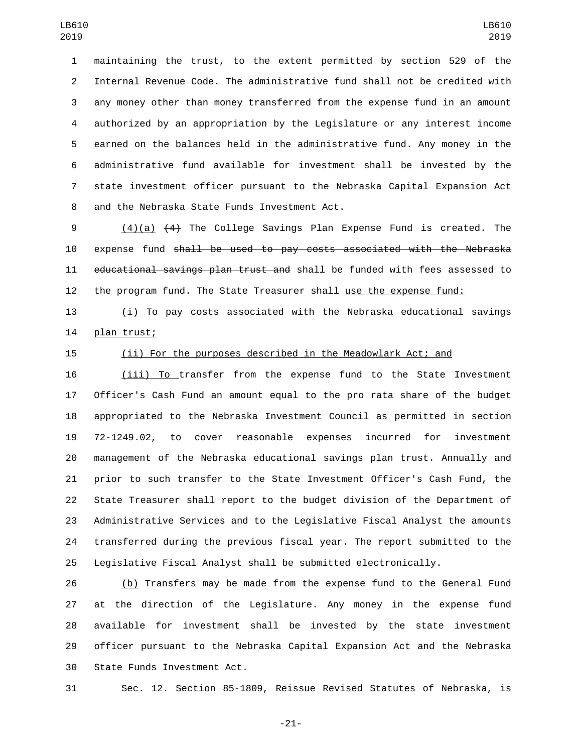maintaining the trust, to the extent permitted by section 529 of the Internal Revenue Code. The administrative fund shall not be credited with any money other than money transferred from the expense fund in an amount authorized by an appropriation by the Legislature or any interest income earned on the balances held in the administrative fund. Any money in the administrative fund available for investment shall be invested by the state investment officer pursuant to the Nebraska Capital Expansion Act 8 and the Nebraska State Funds Investment Act.

 (4)(a) (4) The College Savings Plan Expense Fund is created. The expense fund shall be used to pay costs associated with the Nebraska 11 educational savings plan trust and shall be funded with fees assessed to the program fund. The State Treasurer shall use the expense fund:

 (i) To pay costs associated with the Nebraska educational savings 14 plan trust;

## (ii) For the purposes described in the Meadowlark Act; and

 (iii) To transfer from the expense fund to the State Investment Officer's Cash Fund an amount equal to the pro rata share of the budget appropriated to the Nebraska Investment Council as permitted in section 72-1249.02, to cover reasonable expenses incurred for investment management of the Nebraska educational savings plan trust. Annually and prior to such transfer to the State Investment Officer's Cash Fund, the State Treasurer shall report to the budget division of the Department of Administrative Services and to the Legislative Fiscal Analyst the amounts transferred during the previous fiscal year. The report submitted to the Legislative Fiscal Analyst shall be submitted electronically.

 (b) Transfers may be made from the expense fund to the General Fund at the direction of the Legislature. Any money in the expense fund available for investment shall be invested by the state investment officer pursuant to the Nebraska Capital Expansion Act and the Nebraska 30 State Funds Investment Act.

Sec. 12. Section 85-1809, Reissue Revised Statutes of Nebraska, is

-21-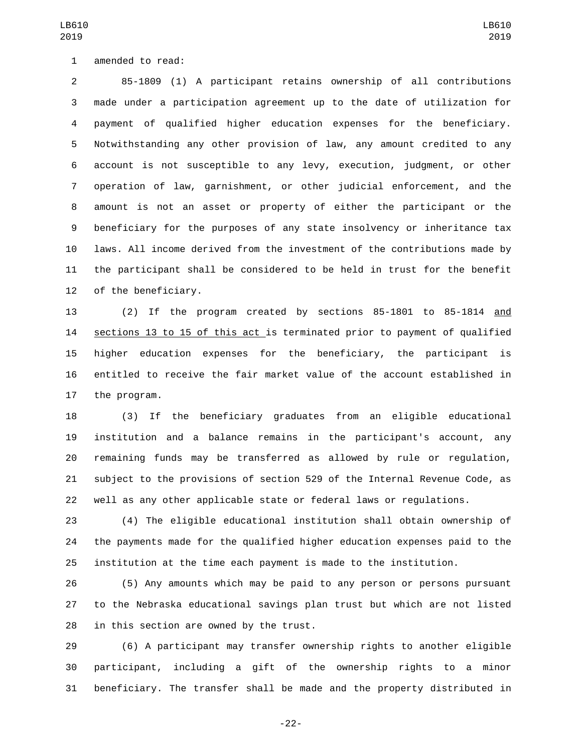1 amended to read:

 85-1809 (1) A participant retains ownership of all contributions made under a participation agreement up to the date of utilization for payment of qualified higher education expenses for the beneficiary. Notwithstanding any other provision of law, any amount credited to any account is not susceptible to any levy, execution, judgment, or other operation of law, garnishment, or other judicial enforcement, and the amount is not an asset or property of either the participant or the beneficiary for the purposes of any state insolvency or inheritance tax laws. All income derived from the investment of the contributions made by the participant shall be considered to be held in trust for the benefit 12 of the beneficiary.

 (2) If the program created by sections 85-1801 to 85-1814 and sections 13 to 15 of this act is terminated prior to payment of qualified higher education expenses for the beneficiary, the participant is entitled to receive the fair market value of the account established in 17 the program.

 (3) If the beneficiary graduates from an eligible educational institution and a balance remains in the participant's account, any remaining funds may be transferred as allowed by rule or regulation, subject to the provisions of section 529 of the Internal Revenue Code, as well as any other applicable state or federal laws or regulations.

 (4) The eligible educational institution shall obtain ownership of the payments made for the qualified higher education expenses paid to the institution at the time each payment is made to the institution.

 (5) Any amounts which may be paid to any person or persons pursuant to the Nebraska educational savings plan trust but which are not listed in this section are owned by the trust.

 (6) A participant may transfer ownership rights to another eligible participant, including a gift of the ownership rights to a minor beneficiary. The transfer shall be made and the property distributed in

LB610 

-22-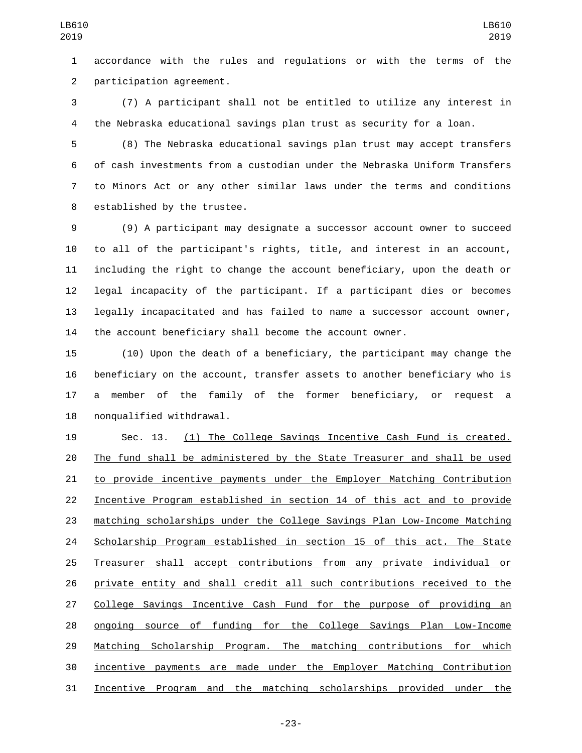accordance with the rules and regulations or with the terms of the 2 participation agreement.

 (7) A participant shall not be entitled to utilize any interest in the Nebraska educational savings plan trust as security for a loan.

 (8) The Nebraska educational savings plan trust may accept transfers of cash investments from a custodian under the Nebraska Uniform Transfers to Minors Act or any other similar laws under the terms and conditions 8 established by the trustee.

 (9) A participant may designate a successor account owner to succeed to all of the participant's rights, title, and interest in an account, including the right to change the account beneficiary, upon the death or legal incapacity of the participant. If a participant dies or becomes legally incapacitated and has failed to name a successor account owner, the account beneficiary shall become the account owner.

 (10) Upon the death of a beneficiary, the participant may change the beneficiary on the account, transfer assets to another beneficiary who is a member of the family of the former beneficiary, or request a 18 nonqualified withdrawal.

 Sec. 13. (1) The College Savings Incentive Cash Fund is created. The fund shall be administered by the State Treasurer and shall be used to provide incentive payments under the Employer Matching Contribution Incentive Program established in section 14 of this act and to provide matching scholarships under the College Savings Plan Low-Income Matching Scholarship Program established in section 15 of this act. The State Treasurer shall accept contributions from any private individual or private entity and shall credit all such contributions received to the College Savings Incentive Cash Fund for the purpose of providing an ongoing source of funding for the College Savings Plan Low-Income 29 Matching Scholarship Program. The matching contributions for which incentive payments are made under the Employer Matching Contribution Incentive Program and the matching scholarships provided under the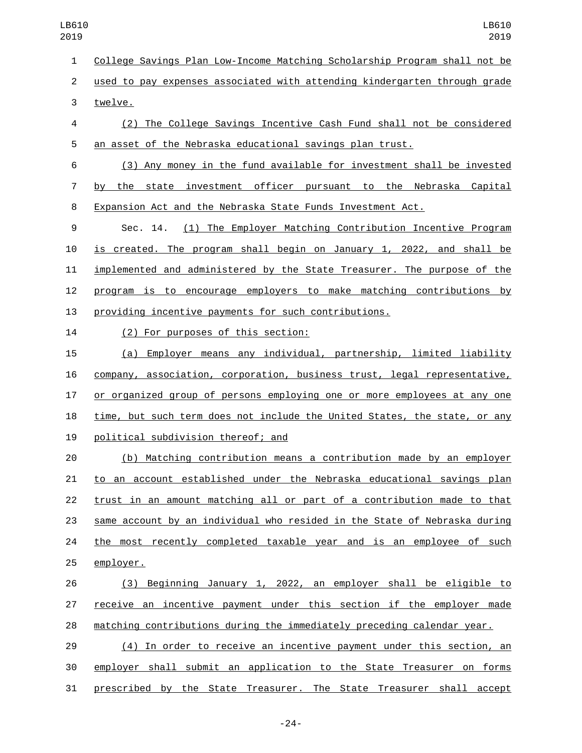College Savings Plan Low-Income Matching Scholarship Program shall not be

 used to pay expenses associated with attending kindergarten through grade 3 twelve.

 (2) The College Savings Incentive Cash Fund shall not be considered an asset of the Nebraska educational savings plan trust.

 (3) Any money in the fund available for investment shall be invested by the state investment officer pursuant to the Nebraska Capital Expansion Act and the Nebraska State Funds Investment Act.

 Sec. 14. (1) The Employer Matching Contribution Incentive Program is created. The program shall begin on January 1, 2022, and shall be implemented and administered by the State Treasurer. The purpose of the program is to encourage employers to make matching contributions by providing incentive payments for such contributions.

(2) For purposes of this section:14

 (a) Employer means any individual, partnership, limited liability company, association, corporation, business trust, legal representative, or organized group of persons employing one or more employees at any one time, but such term does not include the United States, the state, or any 19 political subdivision thereof; and

 (b) Matching contribution means a contribution made by an employer to an account established under the Nebraska educational savings plan trust in an amount matching all or part of a contribution made to that same account by an individual who resided in the State of Nebraska during 24 the most recently completed taxable year and is an employee of such 25 employer.

 (3) Beginning January 1, 2022, an employer shall be eligible to receive an incentive payment under this section if the employer made matching contributions during the immediately preceding calendar year.

 (4) In order to receive an incentive payment under this section, an employer shall submit an application to the State Treasurer on forms prescribed by the State Treasurer. The State Treasurer shall accept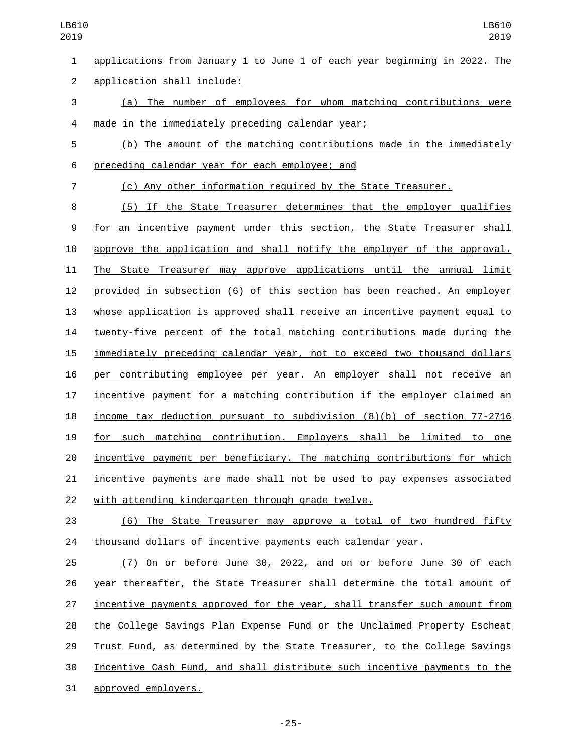applications from January 1 to June 1 of each year beginning in 2022. The application shall include:2 (a) The number of employees for whom matching contributions were 4 made in the immediately preceding calendar year; (b) The amount of the matching contributions made in the immediately preceding calendar year for each employee; and6 (c) Any other information required by the State Treasurer. (5) If the State Treasurer determines that the employer qualifies for an incentive payment under this section, the State Treasurer shall approve the application and shall notify the employer of the approval. The State Treasurer may approve applications until the annual limit provided in subsection (6) of this section has been reached. An employer whose application is approved shall receive an incentive payment equal to twenty-five percent of the total matching contributions made during the immediately preceding calendar year, not to exceed two thousand dollars per contributing employee per year. An employer shall not receive an incentive payment for a matching contribution if the employer claimed an income tax deduction pursuant to subdivision (8)(b) of section 77-2716 for such matching contribution. Employers shall be limited to one incentive payment per beneficiary. The matching contributions for which incentive payments are made shall not be used to pay expenses associated 22 with attending kindergarten through grade twelve. (6) The State Treasurer may approve a total of two hundred fifty

thousand dollars of incentive payments each calendar year.

 (7) On or before June 30, 2022, and on or before June 30 of each year thereafter, the State Treasurer shall determine the total amount of incentive payments approved for the year, shall transfer such amount from the College Savings Plan Expense Fund or the Unclaimed Property Escheat Trust Fund, as determined by the State Treasurer, to the College Savings Incentive Cash Fund, and shall distribute such incentive payments to the 31 approved employers.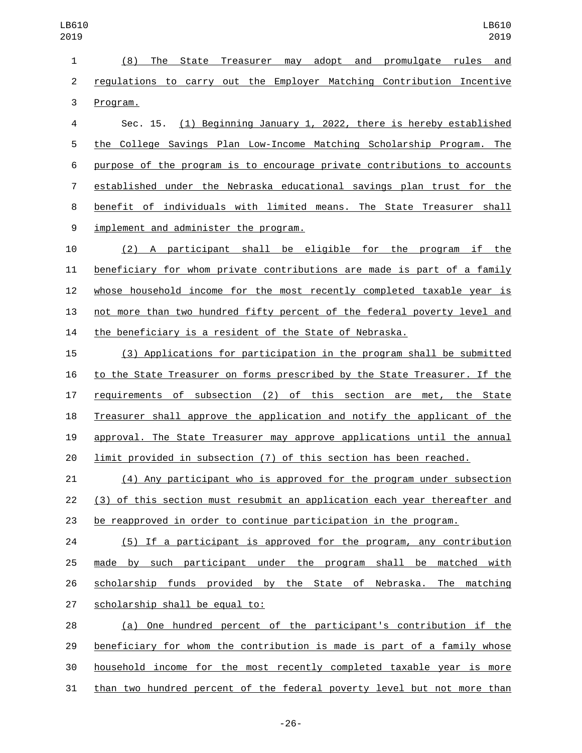(8) The State Treasurer may adopt and promulgate rules and regulations to carry out the Employer Matching Contribution Incentive 3 Program.

 Sec. 15. (1) Beginning January 1, 2022, there is hereby established the College Savings Plan Low-Income Matching Scholarship Program. The purpose of the program is to encourage private contributions to accounts established under the Nebraska educational savings plan trust for the benefit of individuals with limited means. The State Treasurer shall 9 implement and administer the program.

 (2) A participant shall be eligible for the program if the beneficiary for whom private contributions are made is part of a family whose household income for the most recently completed taxable year is not more than two hundred fifty percent of the federal poverty level and the beneficiary is a resident of the State of Nebraska.

 (3) Applications for participation in the program shall be submitted to the State Treasurer on forms prescribed by the State Treasurer. If the requirements of subsection (2) of this section are met, the State Treasurer shall approve the application and notify the applicant of the approval. The State Treasurer may approve applications until the annual limit provided in subsection (7) of this section has been reached.

 (4) Any participant who is approved for the program under subsection (3) of this section must resubmit an application each year thereafter and be reapproved in order to continue participation in the program.

 (5) If a participant is approved for the program, any contribution made by such participant under the program shall be matched with scholarship funds provided by the State of Nebraska. The matching 27 scholarship shall be equal to:

28 (a) One hundred percent of the participant's contribution if the beneficiary for whom the contribution is made is part of a family whose household income for the most recently completed taxable year is more than two hundred percent of the federal poverty level but not more than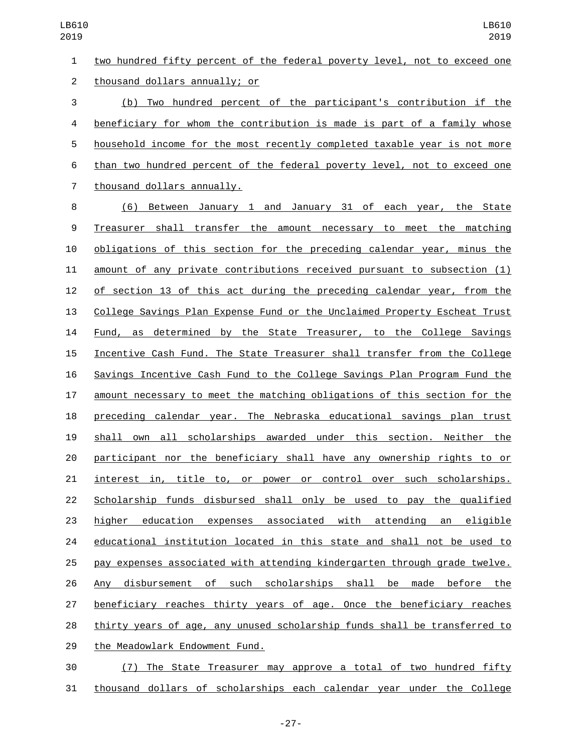two hundred fifty percent of the federal poverty level, not to exceed one 2 thousand dollars annually; or (b) Two hundred percent of the participant's contribution if the

 beneficiary for whom the contribution is made is part of a family whose household income for the most recently completed taxable year is not more than two hundred percent of the federal poverty level, not to exceed one 7 thousand dollars annually.

 (6) Between January 1 and January 31 of each year, the State Treasurer shall transfer the amount necessary to meet the matching obligations of this section for the preceding calendar year, minus the amount of any private contributions received pursuant to subsection (1) of section 13 of this act during the preceding calendar year, from the College Savings Plan Expense Fund or the Unclaimed Property Escheat Trust Fund, as determined by the State Treasurer, to the College Savings Incentive Cash Fund. The State Treasurer shall transfer from the College Savings Incentive Cash Fund to the College Savings Plan Program Fund the amount necessary to meet the matching obligations of this section for the preceding calendar year. The Nebraska educational savings plan trust shall own all scholarships awarded under this section. Neither the participant nor the beneficiary shall have any ownership rights to or interest in, title to, or power or control over such scholarships. Scholarship funds disbursed shall only be used to pay the qualified higher education expenses associated with attending an eligible educational institution located in this state and shall not be used to pay expenses associated with attending kindergarten through grade twelve. Any disbursement of such scholarships shall be made before the beneficiary reaches thirty years of age. Once the beneficiary reaches thirty years of age, any unused scholarship funds shall be transferred to 29 the Meadowlark Endowment Fund.

 (7) The State Treasurer may approve a total of two hundred fifty thousand dollars of scholarships each calendar year under the College